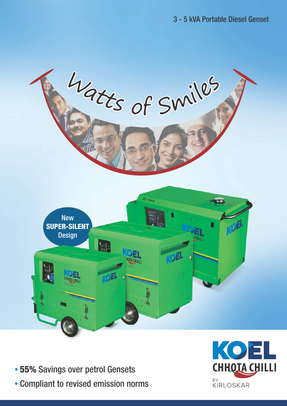

- 55% Savings over petrol Gensets
- Compliant to revised emission norms